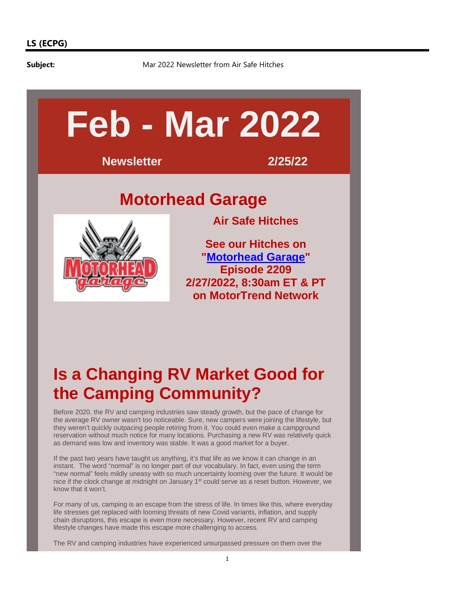**Subject:** Mar 2022 Newsletter from Air Safe Hitches



# **Is a Changing RV Market Good for the Camping Community?**

Before 2020, the RV and camping industries saw steady growth, but the pace of change for the average RV owner wasn't too noticeable. Sure, new campers were joining the lifestyle, but they weren't quickly outpacing people retiring from it. You could even make a campground reservation without much notice for many locations. Purchasing a new RV was relatively quick as demand was low and inventory was stable. It was a good market for a buyer.

If the past two years have taught us anything, it's that life as we know it can change in an instant. The word "normal" is no longer part of our vocabulary. In fact, even using the term "new normal" feels mildly uneasy with so much uncertainty looming over the future. It would be nice if the clock change at midnight on January 1<sup>st</sup> could serve as a reset button. However, we know that it won't.

For many of us, camping is an escape from the stress of life. In times like this, where everyday life stresses get replaced with looming threats of new Covid variants, inflation, and supply chain disruptions, this escape is even more necessary. However, recent RV and camping lifestyle changes have made this escape more challenging to access.

The RV and camping industries have experienced unsurpassed pressure on them over the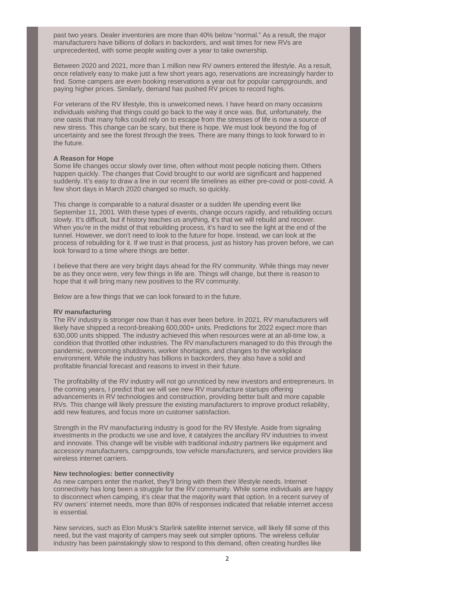past two years. Dealer inventories are more than 40% below "normal." As a result, the major manufacturers have billions of dollars in backorders, and wait times for new RVs are unprecedented, with some people waiting over a year to take ownership.

Between 2020 and 2021, more than 1 million new RV owners entered the lifestyle. As a result, once relatively easy to make just a few short years ago, reservations are increasingly harder to find. Some campers are even booking reservations a year out for popular campgrounds, and paying higher prices. Similarly, demand has pushed RV prices to record highs.

For veterans of the RV lifestyle, this is unwelcomed news. I have heard on many occasions individuals wishing that things could go back to the way it once was. But, unfortunately, the one oasis that many folks could rely on to escape from the stresses of life is now a source of new stress. This change can be scary, but there is hope. We must look beyond the fog of uncertainty and see the forest through the trees. There are many things to look forward to in the future.

# **A Reason for Hope**

Some life changes occur slowly over time, often without most people noticing them. Others happen quickly. The changes that Covid brought to our world are significant and happened suddenly. It's easy to draw a line in our recent life timelines as either pre-covid or post-covid. A few short days in March 2020 changed so much, so quickly.

This change is comparable to a natural disaster or a sudden life upending event like September 11, 2001. With these types of events, change occurs rapidly, and rebuilding occurs slowly. It's difficult, but if history teaches us anything, it's that we will rebuild and recover. When you're in the midst of that rebuilding process, it's hard to see the light at the end of the tunnel. However, we don't need to look to the future for hope. Instead, we can look at the process of rebuilding for it. If we trust in that process, just as history has proven before, we can look forward to a time where things are better.

I believe that there are very bright days ahead for the RV community. While things may never be as they once were, very few things in life are. Things will change, but there is reason to hope that it will bring many new positives to the RV community.

Below are a few things that we can look forward to in the future.

## **RV manufacturing**

The RV industry is stronger now than it has ever been before. In 2021, RV manufacturers will likely have shipped a record-breaking 600,000+ units. Predictions for 2022 expect more than 630,000 units shipped. The industry achieved this when resources were at an all-time low, a condition that throttled other industries. The RV manufacturers managed to do this through the pandemic, overcoming shutdowns, worker shortages, and changes to the workplace environment. While the industry has billions in backorders, they also have a solid and profitable financial forecast and reasons to invest in their future.

The profitability of the RV industry will not go unnoticed by new investors and entrepreneurs. In the coming years, I predict that we will see new RV manufacture startups offering advancements in RV technologies and construction, providing better built and more capable RVs. This change will likely pressure the existing manufacturers to improve product reliability, add new features, and focus more on customer satisfaction.

Strength in the RV manufacturing industry is good for the RV lifestyle. Aside from signaling investments in the products we use and love, it catalyzes the ancillary RV industries to invest and innovate. This change will be visible with traditional industry partners like equipment and accessory manufacturers, campgrounds, tow vehicle manufacturers, and service providers like wireless internet carriers.

# **New technologies: better connectivity**

As new campers enter the market, they'll bring with them their lifestyle needs. Internet connectivity has long been a struggle for the RV community. While some individuals are happy to disconnect when camping, it's clear that the majority want that option. In a recent survey of RV owners' internet needs, more than 80% of responses indicated that reliable internet access is essential.

New services, such as Elon Musk's Starlink satellite internet service, will likely fill some of this need, but the vast majority of campers may seek out simpler options. The wireless cellular industry has been painstakingly slow to respond to this demand, often creating hurdles like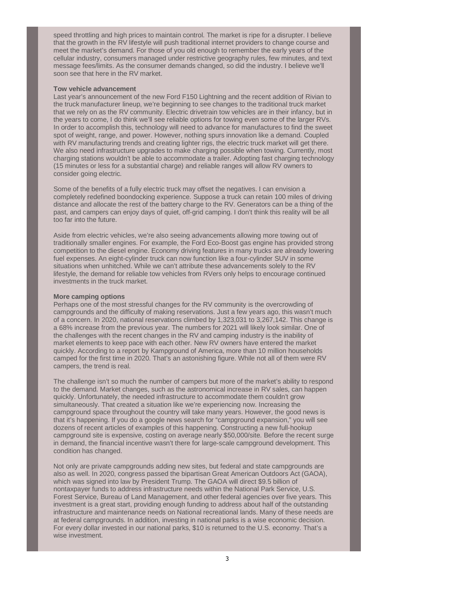speed throttling and high prices to maintain control. The market is ripe for a disrupter. I believe that the growth in the RV lifestyle will push traditional internet providers to change course and meet the market's demand. For those of you old enough to remember the early years of the cellular industry, consumers managed under restrictive geography rules, few minutes, and text message fees/limits. As the consumer demands changed, so did the industry. I believe we'll soon see that here in the RV market.

### **Tow vehicle advancement**

Last year's announcement of the new Ford F150 Lightning and the recent addition of Rivian to the truck manufacturer lineup, we're beginning to see changes to the traditional truck market that we rely on as the RV community. Electric drivetrain tow vehicles are in their infancy, but in the years to come, I do think we'll see reliable options for towing even some of the larger RVs. In order to accomplish this, technology will need to advance for manufactures to find the sweet spot of weight, range, and power. However, nothing spurs innovation like a demand. Coupled with RV manufacturing trends and creating lighter rigs, the electric truck market will get there. We also need infrastructure upgrades to make charging possible when towing. Currently, most charging stations wouldn't be able to accommodate a trailer. Adopting fast charging technology (15 minutes or less for a substantial charge) and reliable ranges will allow RV owners to consider going electric.

Some of the benefits of a fully electric truck may offset the negatives. I can envision a completely redefined boondocking experience. Suppose a truck can retain 100 miles of driving distance and allocate the rest of the battery charge to the RV. Generators can be a thing of the past, and campers can enjoy days of quiet, off-grid camping. I don't think this reality will be all too far into the future.

Aside from electric vehicles, we're also seeing advancements allowing more towing out of traditionally smaller engines. For example, the Ford Eco-Boost gas engine has provided strong competition to the diesel engine. Economy driving features in many trucks are already lowering fuel expenses. An eight-cylinder truck can now function like a four-cylinder SUV in some situations when unhitched. While we can't attribute these advancements solely to the RV lifestyle, the demand for reliable tow vehicles from RVers only helps to encourage continued investments in the truck market.

### **More camping options**

Perhaps one of the most stressful changes for the RV community is the overcrowding of campgrounds and the difficulty of making reservations. Just a few years ago, this wasn't much of a concern. In 2020, national reservations climbed by 1,323,031 to 3,267,142. This change is a 68% increase from the previous year. The numbers for 2021 will likely look similar. One of the challenges with the recent changes in the RV and camping industry is the inability of market elements to keep pace with each other. New RV owners have entered the market quickly. According to a report by Kampground of America, more than 10 million households camped for the first time in 2020. That's an astonishing figure. While not all of them were RV campers, the trend is real.

The challenge isn't so much the number of campers but more of the market's ability to respond to the demand. Market changes, such as the astronomical increase in RV sales, can happen quickly. Unfortunately, the needed infrastructure to accommodate them couldn't grow simultaneously. That created a situation like we're experiencing now. Increasing the campground space throughout the country will take many years. However, the good news is that it's happening. If you do a google news search for "campground expansion," you will see dozens of recent articles of examples of this happening. Constructing a new full-hookup campground site is expensive, costing on average nearly \$50,000/site. Before the recent surge in demand, the financial incentive wasn't there for large-scale campground development. This condition has changed.

Not only are private campgrounds adding new sites, but federal and state campgrounds are also as well. In 2020, congress passed the bipartisan Great American Outdoors Act (GAOA), which was signed into law by President Trump. The GAOA will direct \$9.5 billion of nontaxpayer funds to address infrastructure needs within the National Park Service, U.S. Forest Service, Bureau of Land Management, and other federal agencies over five years. This investment is a great start, providing enough funding to address about half of the outstanding infrastructure and maintenance needs on National recreational lands. Many of these needs are at federal campgrounds. In addition, investing in national parks is a wise economic decision. For every dollar invested in our national parks, \$10 is returned to the U.S. economy. That's a wise investment.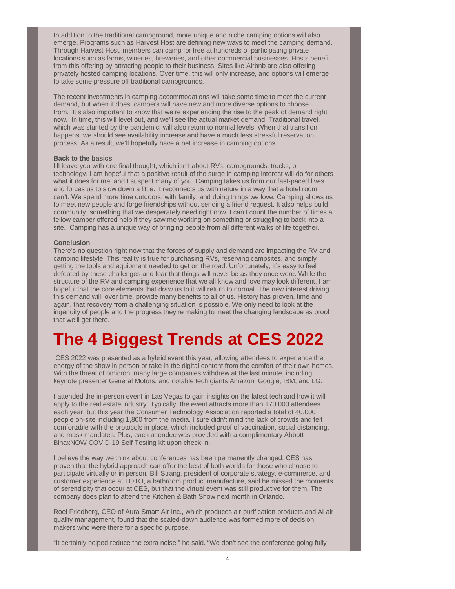In addition to the traditional campground, more unique and niche camping options will also emerge. Programs such as Harvest Host are defining new ways to meet the camping demand. Through Harvest Host, members can camp for free at hundreds of participating private locations such as farms, wineries, breweries, and other commercial businesses. Hosts benefit from this offering by attracting people to their business. Sites like Airbnb are also offering privately hosted camping locations. Over time, this will only increase, and options will emerge to take some pressure off traditional campgrounds.

The recent investments in camping accommodations will take some time to meet the current demand, but when it does, campers will have new and more diverse options to choose from. It's also important to know that we're experiencing the rise to the peak of demand right now. In time, this will level out, and we'll see the actual market demand. Traditional travel, which was stunted by the pandemic, will also return to normal levels. When that transition happens, we should see availability increase and have a much less stressful reservation process. As a result, we'll hopefully have a net increase in camping options.

### **Back to the basics**

I'll leave you with one final thought, which isn't about RVs, campgrounds, trucks, or technology. I am hopeful that a positive result of the surge in camping interest will do for others what it does for me, and I suspect many of you. Camping takes us from our fast-paced lives and forces us to slow down a little. It reconnects us with nature in a way that a hotel room can't. We spend more time outdoors, with family, and doing things we love. Camping allows us to meet new people and forge friendships without sending a friend request. It also helps build community, something that we desperately need right now. I can't count the number of times a fellow camper offered help if they saw me working on something or struggling to back into a site. Camping has a unique way of bringing people from all different walks of life together.

#### **Conclusion**

There's no question right now that the forces of supply and demand are impacting the RV and camping lifestyle. This reality is true for purchasing RVs, reserving campsites, and simply getting the tools and equipment needed to get on the road. Unfortunately, it's easy to feel defeated by these challenges and fear that things will never be as they once were. While the structure of the RV and camping experience that we all know and love may look different, I am hopeful that the core elements that draw us to it will return to normal. The new interest driving this demand will, over time, provide many benefits to all of us. History has proven, time and again, that recovery from a challenging situation is possible. We only need to look at the ingenuity of people and the progress they're making to meet the changing landscape as proof that we'll get there.

# **The 4 Biggest Trends at CES 2022**

 CES 2022 was presented as a hybrid event this year, allowing attendees to experience the energy of the show in person or take in the digital content from the comfort of their own homes. With the threat of omicron, many large companies withdrew at the last minute, including keynote presenter General Motors, and notable tech giants Amazon, Google, IBM, and LG.

I attended the in-person event in Las Vegas to gain insights on the latest tech and how it will apply to the real estate industry. Typically, the event attracts more than 170,000 attendees each year, but this year the Consumer Technology Association reported a total of 40,000 people on-site including 1,800 from the media. I sure didn't mind the lack of crowds and felt comfortable with the protocols in place, which included proof of vaccination, social distancing, and mask mandates. Plus, each attendee was provided with a complimentary Abbott BinaxNOW COVID-19 Self Testing kit upon check-in.

I believe the way we think about conferences has been permanently changed. CES has proven that the hybrid approach can offer the best of both worlds for those who choose to participate virtually or in person. Bill Strang, president of corporate strategy, e-commerce, and customer experience at TOTO, a bathroom product manufacture, said he missed the moments of serendipity that occur at CES, but that the virtual event was still productive for them. The company does plan to attend the Kitchen & Bath Show next month in Orlando.

Roei Friedberg, CEO of Aura Smart Air Inc., which produces air purification products and AI air quality management, found that the scaled-down audience was formed more of decision makers who were there for a specific purpose.

"It certainly helped reduce the extra noise," he said. "We don't see the conference going fully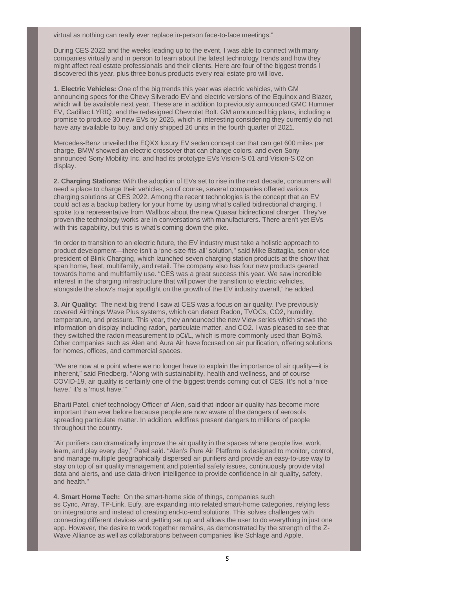virtual as nothing can really ever replace in-person face-to-face meetings."

During CES 2022 and the weeks leading up to the event, I was able to connect with many companies virtually and in person to learn about the latest technology trends and how they might affect real estate professionals and their clients. Here are four of the biggest trends I discovered this year, plus three bonus products every real estate pro will love.

**1. Electric Vehicles:** One of the big trends this year was electric vehicles, with GM announcing specs for the Chevy Silverado EV and electric versions of the Equinox and Blazer, which will be available next year. These are in addition to previously announced GMC Hummer EV, Cadillac LYRIQ, and the redesigned Chevrolet Bolt. GM announced big plans, including a promise to produce 30 new EVs by 2025, which is interesting considering they currently do not have any available to buy, and only shipped 26 units in the fourth quarter of 2021.

Mercedes-Benz unveiled the EQXX luxury EV sedan concept car that can get 600 miles per charge, BMW showed an electric crossover that can change colors, and even Sony announced Sony Mobility Inc. and had its prototype EVs Vision-S 01 and Vision-S 02 on display.

**2. Charging Stations:** With the adoption of EVs set to rise in the next decade, consumers will need a place to charge their vehicles, so of course, several companies offered various charging solutions at CES 2022. Among the recent technologies is the concept that an EV could act as a backup battery for your home by using what's called bidirectional charging. I spoke to a representative from Wallbox about the new Quasar bidirectional charger. They've proven the technology works are in conversations with manufacturers. There aren't yet EVs with this capability, but this is what's coming down the pike.

"In order to transition to an electric future, the EV industry must take a holistic approach to product development—there isn't a 'one-size-fits-all' solution," said Mike Battaglia, senior vice president of Blink Charging, which launched seven charging station products at the show that span home, fleet, multifamily, and retail. The company also has four new products geared towards home and multifamily use. "CES was a great success this year. We saw incredible interest in the charging infrastructure that will power the transition to electric vehicles, alongside the show's major spotlight on the growth of the EV industry overall," he added.

**3. Air Quality:** The next big trend I saw at CES was a focus on air quality. I've previously covered Airthings Wave Plus systems, which can detect Radon, TVOCs, CO2, humidity, temperature, and pressure. This year, they announced the new View series which shows the information on display including radon, particulate matter, and CO2. I was pleased to see that they switched the radon measurement to pCi/L, which is more commonly used than Bq/m3. Other companies such as Alen and Aura Air have focused on air purification, offering solutions for homes, offices, and commercial spaces.

"We are now at a point where we no longer have to explain the importance of air quality—it is inherent," said Friedberg. "Along with sustainability, health and wellness, and of course COVID-19, air quality is certainly one of the biggest trends coming out of CES. It's not a 'nice have,' it's a 'must have.'"

Bharti Patel, chief technology Officer of Alen, said that indoor air quality has become more important than ever before because people are now aware of the dangers of aerosols spreading particulate matter. In addition, wildfires present dangers to millions of people throughout the country.

"Air purifiers can dramatically improve the air quality in the spaces where people live, work, learn, and play every day," Patel said. "Alen's Pure Air Platform is designed to monitor, control, and manage multiple geographically dispersed air purifiers and provide an easy-to-use way to stay on top of air quality management and potential safety issues, continuously provide vital data and alerts, and use data-driven intelligence to provide confidence in air quality, safety, and health."

**4. Smart Home Tech:** On the smart-home side of things, companies such as Cync, Array, TP-Link, Eufy, are expanding into related smart-home categories, relying less on integrations and instead of creating end-to-end solutions. This solves challenges with connecting different devices and getting set up and allows the user to do everything in just one app. However, the desire to work together remains, as demonstrated by the strength of the Z-Wave Alliance as well as collaborations between companies like Schlage and Apple.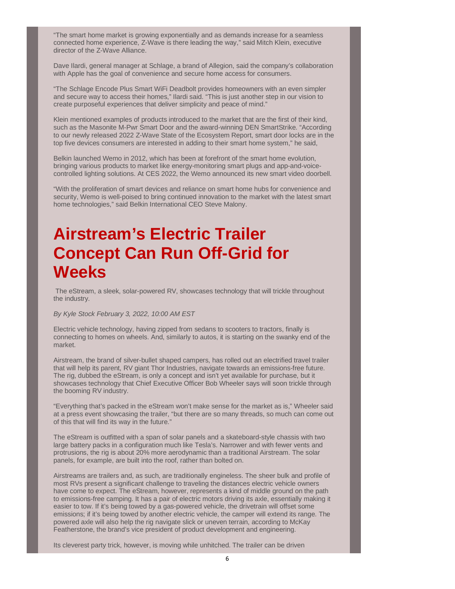"The smart home market is growing exponentially and as demands increase for a seamless connected home experience, Z-Wave is there leading the way," said Mitch Klein, executive director of the Z-Wave Alliance.

Dave Ilardi, general manager at Schlage, a brand of Allegion, said the company's collaboration with Apple has the goal of convenience and secure home access for consumers.

"The Schlage Encode Plus Smart WiFi Deadbolt provides homeowners with an even simpler and secure way to access their homes," Ilardi said. "This is just another step in our vision to create purposeful experiences that deliver simplicity and peace of mind."

Klein mentioned examples of products introduced to the market that are the first of their kind, such as the Masonite M-Pwr Smart Door and the award-winning DEN SmartStrike. "According to our newly released 2022 Z-Wave State of the Ecosystem Report, smart door locks are in the top five devices consumers are interested in adding to their smart home system," he said,

Belkin launched Wemo in 2012, which has been at forefront of the smart home evolution, bringing various products to market like energy-monitoring smart plugs and app-and-voicecontrolled lighting solutions. At CES 2022, the Wemo announced its new smart video doorbell.

"With the proliferation of smart devices and reliance on smart home hubs for convenience and security, Wemo is well-poised to bring continued innovation to the market with the latest smart home technologies," said Belkin International CEO Steve Malony.

# **Airstream's Electric Trailer Concept Can Run Off-Grid for Weeks**

 The eStream, a sleek, solar-powered RV, showcases technology that will trickle throughout the industry.

## By Kyle Stock February 3, 2022, 10:00 AM EST

Electric vehicle technology, having zipped from sedans to scooters to tractors, finally is connecting to homes on wheels. And, similarly to autos, it is starting on the swanky end of the market.

Airstream, the brand of silver-bullet shaped campers, has rolled out an electrified travel trailer that will help its parent, RV giant Thor Industries, navigate towards an emissions-free future. The rig, dubbed the eStream, is only a concept and isn't yet available for purchase, but it showcases technology that Chief Executive Officer Bob Wheeler says will soon trickle through the booming RV industry.

"Everything that's packed in the eStream won't make sense for the market as is," Wheeler said at a press event showcasing the trailer, "but there are so many threads, so much can come out of this that will find its way in the future."

The eStream is outfitted with a span of solar panels and a skateboard-style chassis with two large battery packs in a configuration much like Tesla's. Narrower and with fewer vents and protrusions, the rig is about 20% more aerodynamic than a traditional Airstream. The solar panels, for example, are built into the roof, rather than bolted on.

Airstreams are trailers and, as such, are traditionally engineless. The sheer bulk and profile of most RVs present a significant challenge to traveling the distances electric vehicle owners have come to expect. The eStream, however, represents a kind of middle ground on the path to emissions-free camping. It has a pair of electric motors driving its axle, essentially making it easier to tow. If it's being towed by a gas-powered vehicle, the drivetrain will offset some emissions; if it's being towed by another electric vehicle, the camper will extend its range. The powered axle will also help the rig navigate slick or uneven terrain, according to McKay Featherstone, the brand's vice president of product development and engineering.

Its cleverest party trick, however, is moving while unhitched. The trailer can be driven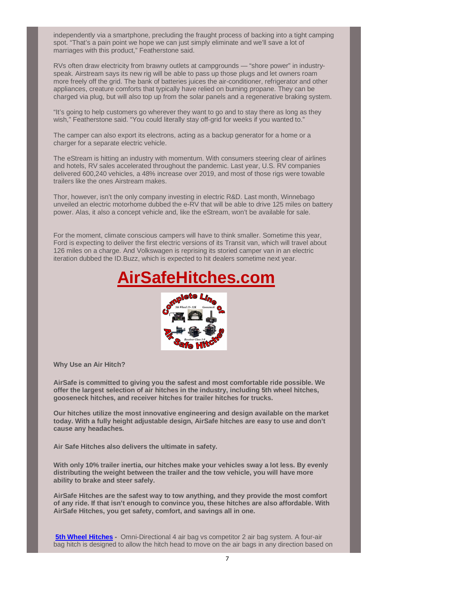independently via a smartphone, precluding the fraught process of backing into a tight camping spot. "That's a pain point we hope we can just simply eliminate and we'll save a lot of marriages with this product," Featherstone said.

RVs often draw electricity from brawny outlets at campgrounds — "shore power" in industryspeak. Airstream says its new rig will be able to pass up those plugs and let owners roam more freely off the grid. The bank of batteries juices the air-conditioner, refrigerator and other appliances, creature comforts that typically have relied on burning propane. They can be charged via plug, but will also top up from the solar panels and a regenerative braking system.

"It's going to help customers go wherever they want to go and to stay there as long as they wish," Featherstone said. "You could literally stay off-grid for weeks if you wanted to."

The camper can also export its electrons, acting as a backup generator for a home or a charger for a separate electric vehicle.

The eStream is hitting an industry with momentum. With consumers steering clear of airlines and hotels, RV sales accelerated throughout the pandemic. Last year, U.S. RV companies delivered 600,240 vehicles, a 48% increase over 2019, and most of those rigs were towable trailers like the ones Airstream makes.

Thor, however, isn't the only company investing in electric R&D. Last month, Winnebago unveiled an electric motorhome dubbed the e-RV that will be able to drive 125 miles on battery power. Alas, it also a concept vehicle and, like the eStream, won't be available for sale.

For the moment, climate conscious campers will have to think smaller. Sometime this year, Ford is expecting to deliver the first electric versions of its Transit van, which will travel about 126 miles on a charge. And Volkswagen is reprising its storied camper van in an electric iteration dubbed the ID.Buzz, which is expected to hit dealers sometime next year.





**Why Use an Air Hitch?**

**AirSafe is committed to giving you the safest and most comfortable ride possible. We offer the largest selection of air hitches in the industry, including 5th wheel hitches, gooseneck hitches, and receiver hitches for trailer hitches for trucks.** 

**Our hitches utilize the most innovative engineering and design available on the market today. With a fully height adjustable design, AirSafe hitches are easy to use and don't cause any headaches.**

**Air Safe Hitches also delivers the ultimate in safety.**

**With only 10% trailer inertia, our hitches make your vehicles sway a lot less. By evenly distributing the weight between the trailer and the tow vehicle, you will have more ability to brake and steer safely.** 

**AirSafe Hitches are the safest way to tow anything, and they provide the most comfort of any ride. If that isn't enough to convince you, these hitches are also affordable. With AirSafe Hitches, you get safety, comfort, and savings all in one.**

**5th Wheel Hitches -** Omni-Directional 4 air bag vs competitor 2 air bag system. A four-air bag hitch is designed to allow the hitch head to move on the air bags in any direction based on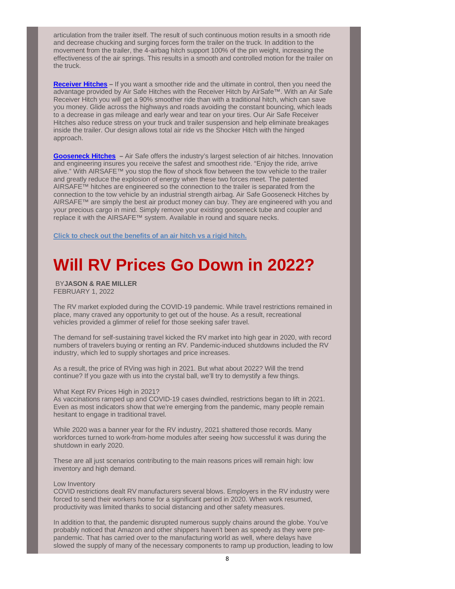articulation from the trailer itself. The result of such continuous motion results in a smooth ride and decrease chucking and surging forces form the trailer on the truck. In addition to the movement from the trailer, the 4-airbag hitch support 100% of the pin weight, increasing the effectiveness of the air springs. This results in a smooth and controlled motion for the trailer on the truck.

**Receiver Hitches** – If you want a smoother ride and the ultimate in control, then you need the advantage provided by Air Safe Hitches with the Receiver Hitch by AirSafe™. With an Air Safe Receiver Hitch you will get a 90% smoother ride than with a traditional hitch, which can save you money. Glide across the highways and roads avoiding the constant bouncing, which leads to a decrease in gas mileage and early wear and tear on your tires. Our Air Safe Receiver Hitches also reduce stress on your truck and trailer suspension and help eliminate breakages inside the trailer. Our design allows total air ride vs the Shocker Hitch with the hinged approach.

**Gooseneck Hitches –** Air Safe offers the industry's largest selection of air hitches. Innovation and engineering insures you receive the safest and smoothest ride. "Enjoy the ride, arrive alive." With AIRSAFE™ you stop the flow of shock flow between the tow vehicle to the trailer and greatly reduce the explosion of energy when these two forces meet. The patented AIRSAFE™ hitches are engineered so the connection to the trailer is separated from the connection to the tow vehicle by an industrial strength airbag. Air Safe Gooseneck Hitches by AIRSAFE™ are simply the best air product money can buy. They are engineered with you and your precious cargo in mind. Simply remove your existing gooseneck tube and coupler and replace it with the AIRSAFE™ system. Available in round and square necks.

**Click to check out the benefits of an air hitch vs a rigid hitch.**

# **Will RV Prices Go Down in 2022?**

 BY**JASON & RAE MILLER** FEBRUARY 1, 2022

The RV market exploded during the COVID-19 pandemic. While travel restrictions remained in place, many craved any opportunity to get out of the house. As a result, recreational vehicles provided a glimmer of relief for those seeking safer travel.

The demand for self-sustaining travel kicked the RV market into high gear in 2020, with record numbers of travelers buying or renting an RV. Pandemic-induced shutdowns included the RV industry, which led to supply shortages and price increases.

As a result, the price of RVing was high in 2021. But what about 2022? Will the trend continue? If you gaze with us into the crystal ball, we'll try to demystify a few things.

### What Kept RV Prices High in 2021?

As vaccinations ramped up and COVID-19 cases dwindled, restrictions began to lift in 2021. Even as most indicators show that we're emerging from the pandemic, many people remain hesitant to engage in traditional travel.

While 2020 was a banner year for the RV industry, 2021 shattered those records. Many workforces turned to work-from-home modules after seeing how successful it was during the shutdown in early 2020.

These are all just scenarios contributing to the main reasons prices will remain high: low inventory and high demand.

#### Low Inventory

COVID restrictions dealt RV manufacturers several blows. Employers in the RV industry were forced to send their workers home for a significant period in 2020. When work resumed, productivity was limited thanks to social distancing and other safety measures.

In addition to that, the pandemic disrupted numerous supply chains around the globe. You've probably noticed that Amazon and other shippers haven't been as speedy as they were prepandemic. That has carried over to the manufacturing world as well, where delays have slowed the supply of many of the necessary components to ramp up production, leading to low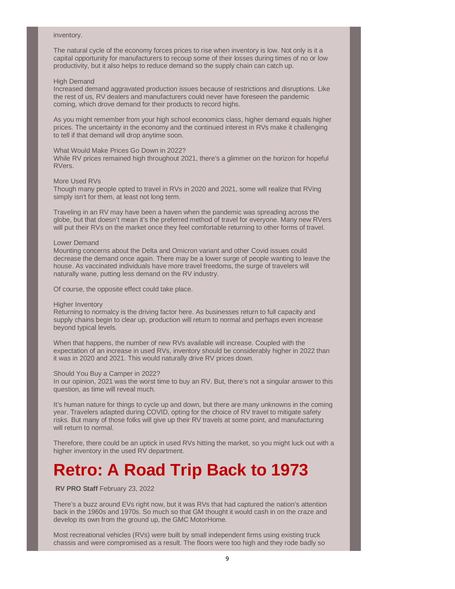#### inventory.

The natural cycle of the economy forces prices to rise when inventory is low. Not only is it a capital opportunity for manufacturers to recoup some of their losses during times of no or low productivity, but it also helps to reduce demand so the supply chain can catch up.

#### High Demand

Increased demand aggravated production issues because of restrictions and disruptions. Like the rest of us, RV dealers and manufacturers could never have foreseen the pandemic coming, which drove demand for their products to record highs.

As you might remember from your high school economics class, higher demand equals higher prices. The uncertainty in the economy and the continued interest in RVs make it challenging to tell if that demand will drop anytime soon.

#### What Would Make Prices Go Down in 2022?

While RV prices remained high throughout 2021, there's a glimmer on the horizon for hopeful RVers.

#### More Used RVs

Though many people opted to travel in RVs in 2020 and 2021, some will realize that RVing simply isn't for them, at least not long term.

Traveling in an RV may have been a haven when the pandemic was spreading across the globe, but that doesn't mean it's the preferred method of travel for everyone. Many new RVers will put their RVs on the market once they feel comfortable returning to other forms of travel.

### Lower Demand

Mounting concerns about the Delta and Omicron variant and other Covid issues could decrease the demand once again. There may be a lower surge of people wanting to leave the house. As vaccinated individuals have more travel freedoms, the surge of travelers will naturally wane, putting less demand on the RV industry.

Of course, the opposite effect could take place.

### Higher Inventory

Returning to normalcy is the driving factor here. As businesses return to full capacity and supply chains begin to clear up, production will return to normal and perhaps even increase beyond typical levels.

When that happens, the number of new RVs available will increase. Coupled with the expectation of an increase in used RVs, inventory should be considerably higher in 2022 than it was in 2020 and 2021. This would naturally drive RV prices down.

### Should You Buy a Camper in 2022?

In our opinion, 2021 was the worst time to buy an RV. But, there's not a singular answer to this question, as time will reveal much.

It's human nature for things to cycle up and down, but there are many unknowns in the coming year. Travelers adapted during COVID, opting for the choice of RV travel to mitigate safety risks. But many of those folks will give up their RV travels at some point, and manufacturing will return to normal.

Therefore, there could be an uptick in used RVs hitting the market, so you might luck out with a higher inventory in the used RV department.

# **Retro: A Road Trip Back to 1973**

**RV PRO Staff** February 23, 2022

There's a buzz around EVs right now, but it was RVs that had captured the nation's attention back in the 1960s and 1970s. So much so that GM thought it would cash in on the craze and develop its own from the ground up, the GMC MotorHome.

Most recreational vehicles (RVs) were built by small independent firms using existing truck chassis and were compromised as a result. The floors were too high and they rode badly so